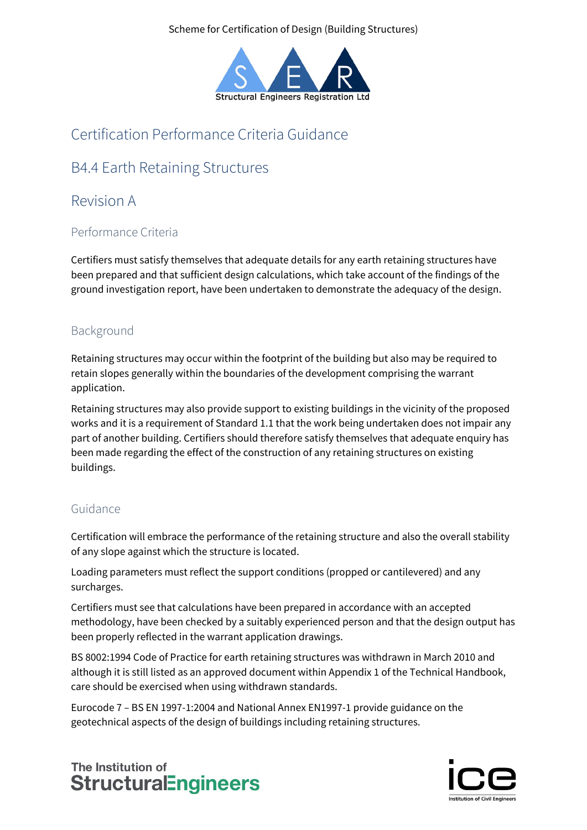Scheme for Certification of Design (Building Structures)



# Certification Performance Criteria Guidance

# B4.4 Earth Retaining Structures

## Revision A

### Performance Criteria

Certifiers must satisfy themselves that adequate details for any earth retaining structures have been prepared and that sufficient design calculations, which take account of the findings of the ground investigation report, have been undertaken to demonstrate the adequacy of the design.

### Background

Retaining structures may occur within the footprint of the building but also may be required to retain slopes generally within the boundaries of the development comprising the warrant application.

Retaining structures may also provide support to existing buildings in the vicinity of the proposed works and it is a requirement of Standard 1.1 that the work being undertaken does not impair any part of another building. Certifiers should therefore satisfy themselves that adequate enquiry has been made regarding the effect of the construction of any retaining structures on existing buildings.

#### Guidance

Certification will embrace the performance of the retaining structure and also the overall stability of any slope against which the structure is located.

Loading parameters must reflect the support conditions (propped or cantilevered) and any surcharges.

Certifiers must see that calculations have been prepared in accordance with an accepted methodology, have been checked by a suitably experienced person and that the design output has been properly reflected in the warrant application drawings.

BS 8002:1994 Code of Practice for earth retaining structures was withdrawn in March 2010 and although it is still listed as an approved document within Appendix 1 of the Technical Handbook, care should be exercised when using withdrawn standards.

Eurocode 7 – BS EN 1997-1:2004 and National Annex EN1997-1 provide guidance on the geotechnical aspects of the design of buildings including retaining structures.

## The Institution of **StructuralEngineers**